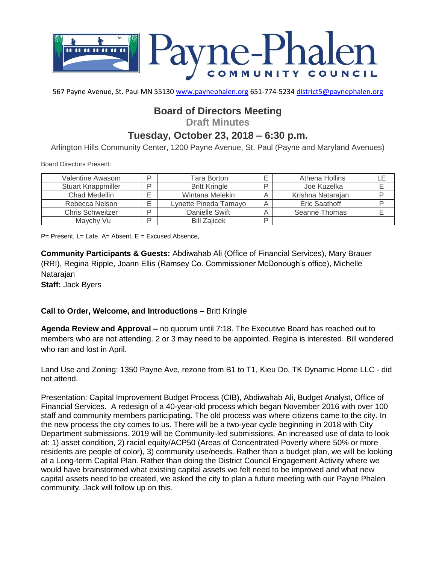

567 Payne Avenue, St. Paul MN 55130 [www.paynephalen.org](http://www.paynephalen.org/) 651-774-5234 [district5@paynephalen.org](mailto:district5@paynephalen.org)

## **Board of Directors Meeting**

**Draft Minutes**

## **Tuesday, October 23, 2018 – 6:30 p.m.**

Arlington Hills Community Center, 1200 Payne Avenue, St. Paul (Payne and Maryland Avenues)

Board Directors Present:

| Valentine Awasom          | D | Tara Borton           |   | Athena Hollins       |  |
|---------------------------|---|-----------------------|---|----------------------|--|
| <b>Stuart Knappmiller</b> | D | <b>Britt Kringle</b>  | D | Joe Kuzelka          |  |
| Chad Medellin             |   | Wintana Melekin       | Α | Krishna Natarajan    |  |
| Rebecca Nelson            |   | Lynette Pineda Tamayo | A | <b>Eric Saathoff</b> |  |
| <b>Chris Schweitzer</b>   | D | Danielle Swift        | A | Seanne Thomas        |  |
| Maychy Vu                 | D | <b>Bill Zaiicek</b>   | D |                      |  |

 $P=$  Present, L= Late, A= Absent, E = Excused Absence,

**Community Participants & Guests:** Abdiwahab Ali (Office of Financial Services), Mary Brauer (RRI), Regina Ripple, Joann Ellis (Ramsey Co. Commissioner McDonough's office), Michelle Natarajan

**Staff:** Jack Byers

## **Call to Order, Welcome, and Introductions –** Britt Kringle

**Agenda Review and Approval –** no quorum until 7:18. The Executive Board has reached out to members who are not attending. 2 or 3 may need to be appointed. Regina is interested. Bill wondered who ran and lost in April.

Land Use and Zoning: 1350 Payne Ave, rezone from B1 to T1, Kieu Do, TK Dynamic Home LLC - did not attend.

Presentation: Capital Improvement Budget Process (CIB), Abdiwahab Ali, Budget Analyst, Office of Financial Services. A redesign of a 40-year-old process which began November 2016 with over 100 staff and community members participating. The old process was where citizens came to the city. In the new process the city comes to us. There will be a two-year cycle beginning in 2018 with City Department submissions. 2019 will be Community-led submissions. An increased use of data to look at: 1) asset condition, 2) racial equity/ACP50 (Areas of Concentrated Poverty where 50% or more residents are people of color), 3) community use/needs. Rather than a budget plan, we will be looking at a Long-term Capital Plan. Rather than doing the District Council Engagement Activity where we would have brainstormed what existing capital assets we felt need to be improved and what new capital assets need to be created, we asked the city to plan a future meeting with our Payne Phalen community. Jack will follow up on this.